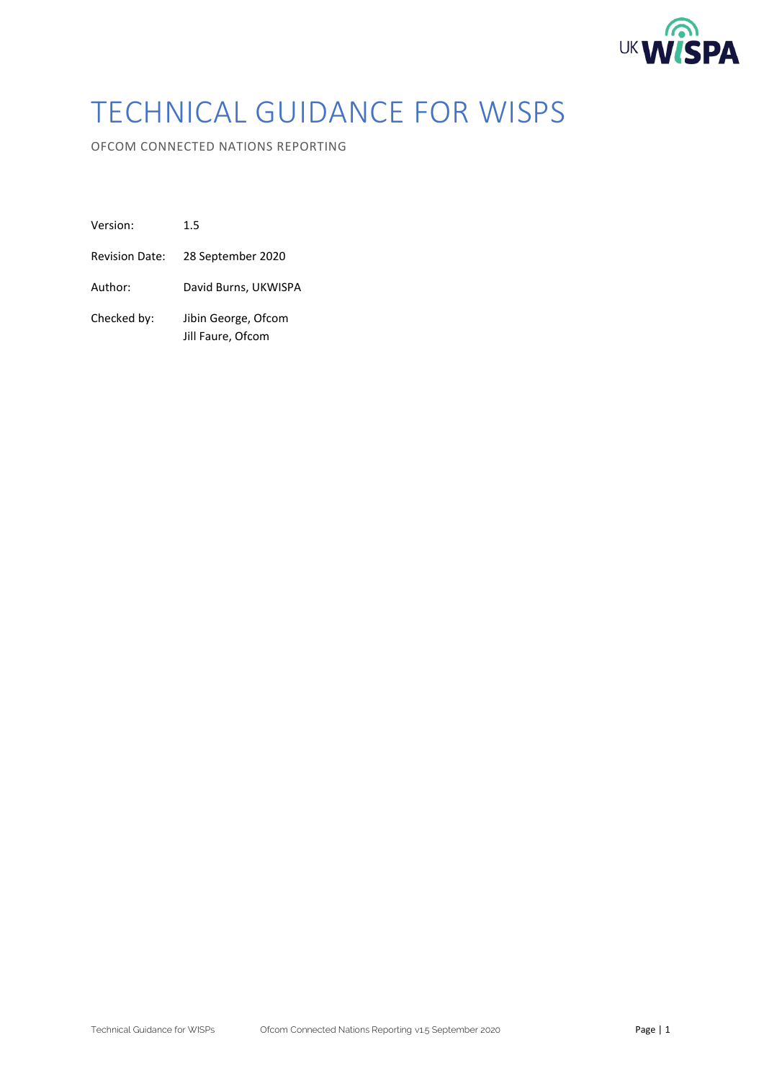

# TECHNICAL GUIDANCE FOR WISPS

OFCOM CONNECTED NATIONS REPORTING

| Version:              | 1.5                                      |
|-----------------------|------------------------------------------|
| <b>Revision Date:</b> | 28 September 2020                        |
| Author:               | David Burns, UKWISPA                     |
| Checked by:           | Jibin George, Ofcom<br>Jill Faure, Ofcom |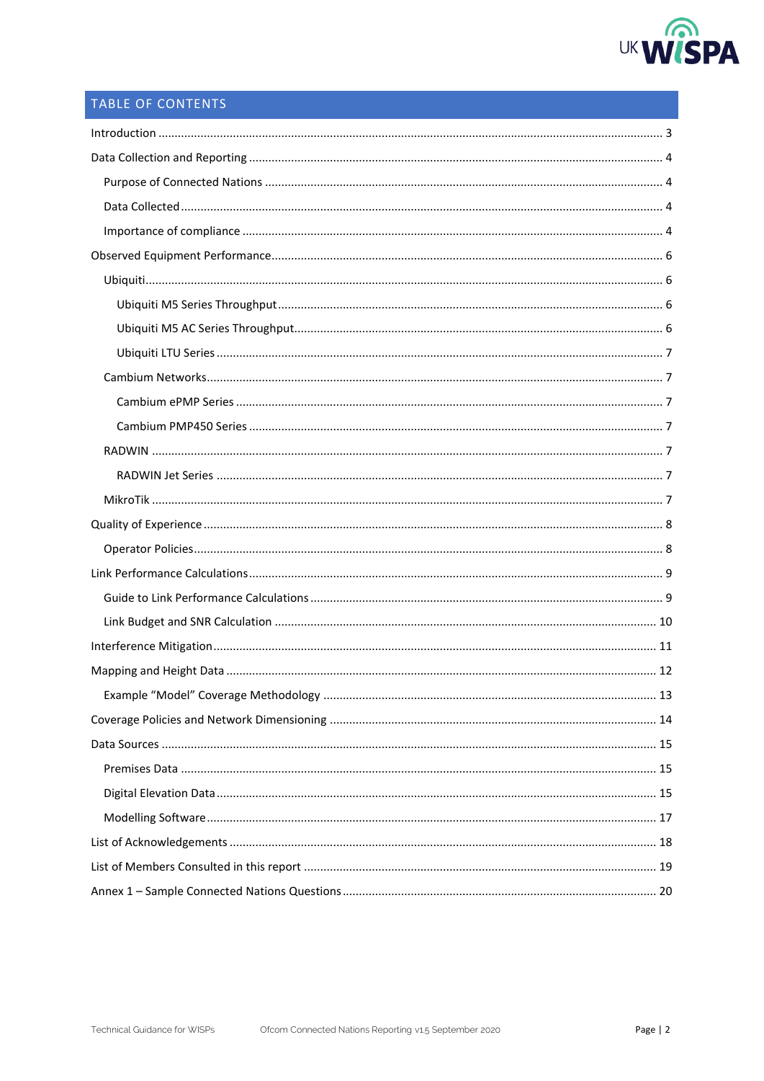

# TABLE OF CONTENTS

| $\label{eq:1} \mbox{Introduction} \,\, \ldots \,\, \ldots \,\, \ldots \,\, \ldots \,\, \ldots \,\, \ldots \,\, \ldots \,\, \ldots \,\, \ldots \,\, \ldots \,\, \ldots \,\, \ldots \,\, \ldots \,\, \ldots \,\, \ldots \,\, \ldots \,\, \ldots \,\, \ldots \,\, \ldots \,\, \ldots \,\, \ldots \,\, \ldots \,\, \ldots \,\, \ldots \,\, \ldots \,\, \ldots \,\, \ldots \,\, \ldots \,\, \ldots \,\, \ldots \,\, \ldots \,\, \ldots \,\, \ldots \,\, \ldots \,\,$ |
|-----------------------------------------------------------------------------------------------------------------------------------------------------------------------------------------------------------------------------------------------------------------------------------------------------------------------------------------------------------------------------------------------------------------------------------------------------------------|
|                                                                                                                                                                                                                                                                                                                                                                                                                                                                 |
|                                                                                                                                                                                                                                                                                                                                                                                                                                                                 |
|                                                                                                                                                                                                                                                                                                                                                                                                                                                                 |
|                                                                                                                                                                                                                                                                                                                                                                                                                                                                 |
|                                                                                                                                                                                                                                                                                                                                                                                                                                                                 |
|                                                                                                                                                                                                                                                                                                                                                                                                                                                                 |
|                                                                                                                                                                                                                                                                                                                                                                                                                                                                 |
|                                                                                                                                                                                                                                                                                                                                                                                                                                                                 |
|                                                                                                                                                                                                                                                                                                                                                                                                                                                                 |
|                                                                                                                                                                                                                                                                                                                                                                                                                                                                 |
|                                                                                                                                                                                                                                                                                                                                                                                                                                                                 |
|                                                                                                                                                                                                                                                                                                                                                                                                                                                                 |
|                                                                                                                                                                                                                                                                                                                                                                                                                                                                 |
|                                                                                                                                                                                                                                                                                                                                                                                                                                                                 |
|                                                                                                                                                                                                                                                                                                                                                                                                                                                                 |
|                                                                                                                                                                                                                                                                                                                                                                                                                                                                 |
|                                                                                                                                                                                                                                                                                                                                                                                                                                                                 |
|                                                                                                                                                                                                                                                                                                                                                                                                                                                                 |
|                                                                                                                                                                                                                                                                                                                                                                                                                                                                 |
|                                                                                                                                                                                                                                                                                                                                                                                                                                                                 |
|                                                                                                                                                                                                                                                                                                                                                                                                                                                                 |
|                                                                                                                                                                                                                                                                                                                                                                                                                                                                 |
|                                                                                                                                                                                                                                                                                                                                                                                                                                                                 |
| 13                                                                                                                                                                                                                                                                                                                                                                                                                                                              |
|                                                                                                                                                                                                                                                                                                                                                                                                                                                                 |
|                                                                                                                                                                                                                                                                                                                                                                                                                                                                 |
|                                                                                                                                                                                                                                                                                                                                                                                                                                                                 |
|                                                                                                                                                                                                                                                                                                                                                                                                                                                                 |
|                                                                                                                                                                                                                                                                                                                                                                                                                                                                 |
|                                                                                                                                                                                                                                                                                                                                                                                                                                                                 |
|                                                                                                                                                                                                                                                                                                                                                                                                                                                                 |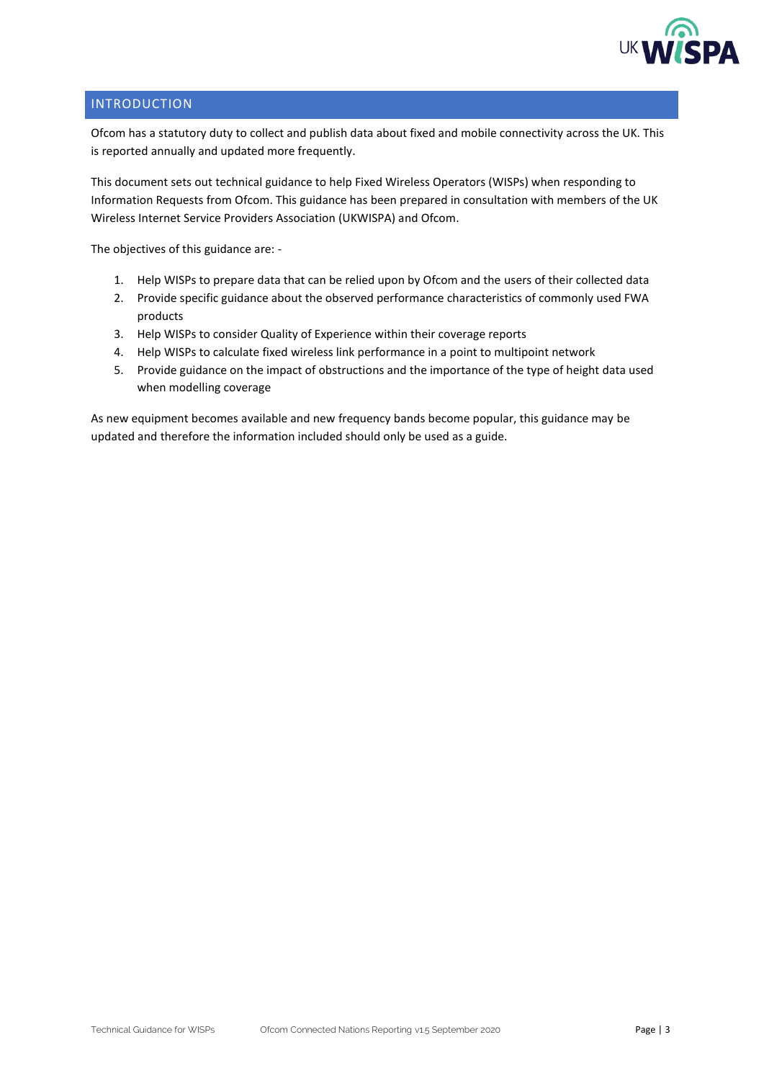

## <span id="page-2-0"></span>INTRODUCTION

Ofcom has a statutory duty to collect and publish data about fixed and mobile connectivity across the UK. This is reported annually and updated more frequently.

This document sets out technical guidance to help Fixed Wireless Operators (WISPs) when responding to Information Requests from Ofcom. This guidance has been prepared in consultation with members of the UK Wireless Internet Service Providers Association (UKWISPA) and Ofcom.

The objectives of this guidance are: -

- 1. Help WISPs to prepare data that can be relied upon by Ofcom and the users of their collected data
- 2. Provide specific guidance about the observed performance characteristics of commonly used FWA products
- 3. Help WISPs to consider Quality of Experience within their coverage reports
- 4. Help WISPs to calculate fixed wireless link performance in a point to multipoint network
- 5. Provide guidance on the impact of obstructions and the importance of the type of height data used when modelling coverage

As new equipment becomes available and new frequency bands become popular, this guidance may be updated and therefore the information included should only be used as a guide.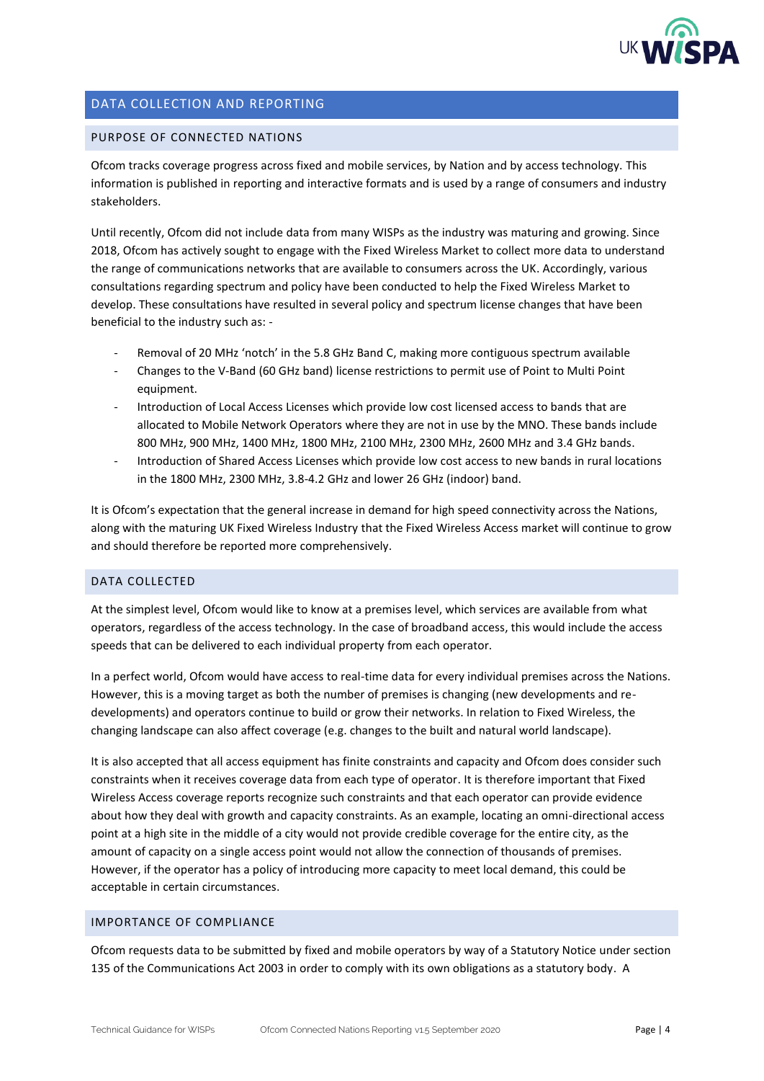

## <span id="page-3-0"></span>DATA COLLECTION AND REPORTING

#### <span id="page-3-1"></span>PURPOSE OF CONNECTED NATIONS

Ofcom tracks coverage progress across fixed and mobile services, by Nation and by access technology. This information is published in reporting and interactive formats and is used by a range of consumers and industry stakeholders.

Until recently, Ofcom did not include data from many WISPs as the industry was maturing and growing. Since 2018, Ofcom has actively sought to engage with the Fixed Wireless Market to collect more data to understand the range of communications networks that are available to consumers across the UK. Accordingly, various consultations regarding spectrum and policy have been conducted to help the Fixed Wireless Market to develop. These consultations have resulted in several policy and spectrum license changes that have been beneficial to the industry such as: -

- Removal of 20 MHz 'notch' in the 5.8 GHz Band C, making more contiguous spectrum available
- Changes to the V-Band (60 GHz band) license restrictions to permit use of Point to Multi Point equipment.
- Introduction of Local Access Licenses which provide low cost licensed access to bands that are allocated to Mobile Network Operators where they are not in use by the MNO. These bands include 800 MHz, 900 MHz, 1400 MHz, 1800 MHz, 2100 MHz, 2300 MHz, 2600 MHz and 3.4 GHz bands.
- Introduction of Shared Access Licenses which provide low cost access to new bands in rural locations in the 1800 MHz, 2300 MHz, 3.8-4.2 GHz and lower 26 GHz (indoor) band.

It is Ofcom's expectation that the general increase in demand for high speed connectivity across the Nations, along with the maturing UK Fixed Wireless Industry that the Fixed Wireless Access market will continue to grow and should therefore be reported more comprehensively.

#### <span id="page-3-2"></span>DATA COLLECTED

At the simplest level, Ofcom would like to know at a premises level, which services are available from what operators, regardless of the access technology. In the case of broadband access, this would include the access speeds that can be delivered to each individual property from each operator.

In a perfect world, Ofcom would have access to real-time data for every individual premises across the Nations. However, this is a moving target as both the number of premises is changing (new developments and redevelopments) and operators continue to build or grow their networks. In relation to Fixed Wireless, the changing landscape can also affect coverage (e.g. changes to the built and natural world landscape).

It is also accepted that all access equipment has finite constraints and capacity and Ofcom does consider such constraints when it receives coverage data from each type of operator. It is therefore important that Fixed Wireless Access coverage reports recognize such constraints and that each operator can provide evidence about how they deal with growth and capacity constraints. As an example, locating an omni-directional access point at a high site in the middle of a city would not provide credible coverage for the entire city, as the amount of capacity on a single access point would not allow the connection of thousands of premises. However, if the operator has a policy of introducing more capacity to meet local demand, this could be acceptable in certain circumstances.

#### <span id="page-3-3"></span>IMPORTANCE OF COMPLIANCE

Ofcom requests data to be submitted by fixed and mobile operators by way of a Statutory Notice under section 135 of the Communications Act 2003 in order to comply with its own obligations as a statutory body. A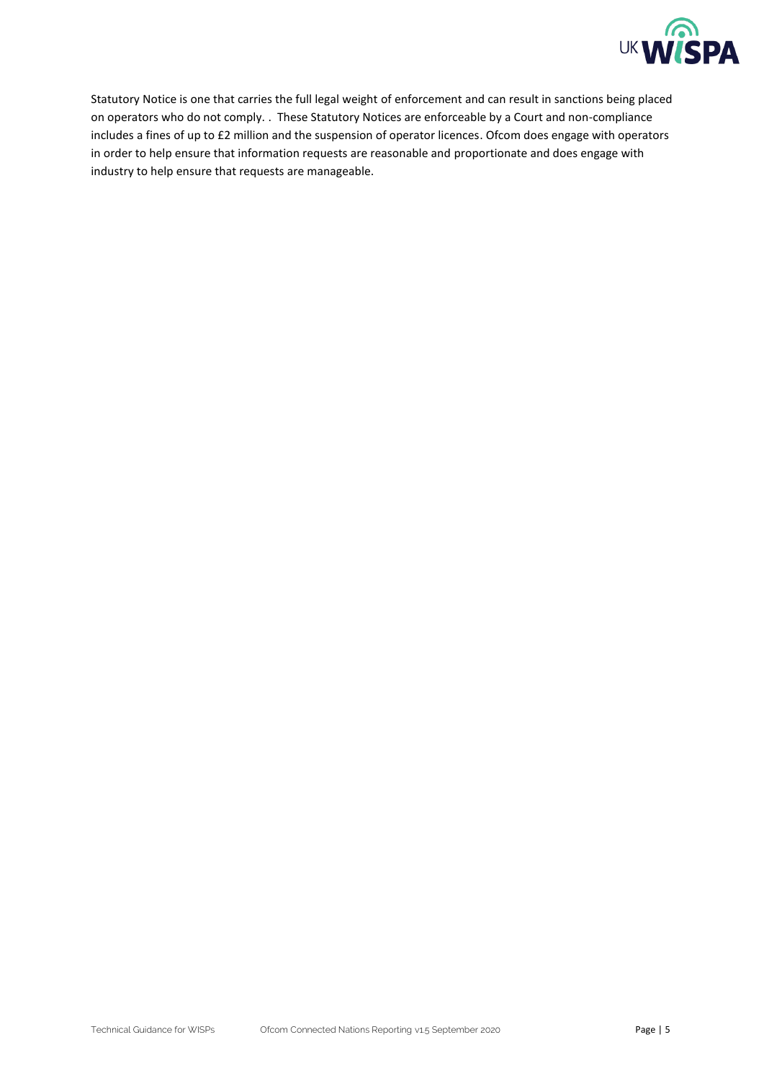

Statutory Notice is one that carries the full legal weight of enforcement and can result in sanctions being placed on operators who do not comply. . These Statutory Notices are enforceable by a Court and non-compliance includes a fines of up to £2 million and the suspension of operator licences. Ofcom does engage with operators in order to help ensure that information requests are reasonable and proportionate and does engage with industry to help ensure that requests are manageable.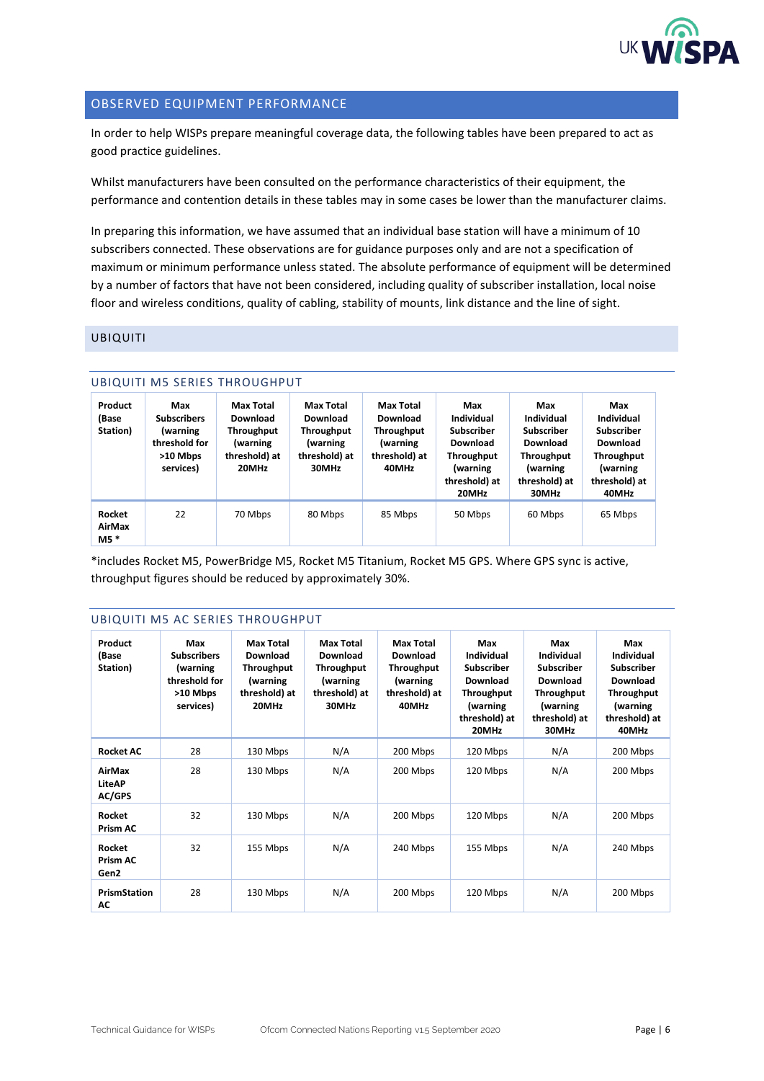

### <span id="page-5-0"></span>OBSERVED EQUIPMENT PERFORMANCE

In order to help WISPs prepare meaningful coverage data, the following tables have been prepared to act as good practice guidelines.

Whilst manufacturers have been consulted on the performance characteristics of their equipment, the performance and contention details in these tables may in some cases be lower than the manufacturer claims.

In preparing this information, we have assumed that an individual base station will have a minimum of 10 subscribers connected. These observations are for guidance purposes only and are not a specification of maximum or minimum performance unless stated. The absolute performance of equipment will be determined by a number of factors that have not been considered, including quality of subscriber installation, local noise floor and wireless conditions, quality of cabling, stability of mounts, link distance and the line of sight.

#### <span id="page-5-2"></span><span id="page-5-1"></span>UBIQUITI

|                              |                                                                                 | <b>UBIQUITI M5 SERIES THROUGHPUT</b>                                             |                                                                                         |                                                                                         |                                                                                                               |                                                                                                               |                                                                                                        |
|------------------------------|---------------------------------------------------------------------------------|----------------------------------------------------------------------------------|-----------------------------------------------------------------------------------------|-----------------------------------------------------------------------------------------|---------------------------------------------------------------------------------------------------------------|---------------------------------------------------------------------------------------------------------------|--------------------------------------------------------------------------------------------------------|
| Product<br>(Base<br>Station) | Max<br><b>Subscribers</b><br>(warning<br>threshold for<br>>10 Mbps<br>services) | Max Total<br>Download<br><b>Throughput</b><br>(warning<br>threshold) at<br>20MHz | <b>Max Total</b><br>Download<br><b>Throughput</b><br>(warning<br>threshold) at<br>30MHz | <b>Max Total</b><br>Download<br><b>Throughput</b><br>(warning<br>threshold) at<br>40MHz | Max<br>Individual<br><b>Subscriber</b><br>Download<br><b>Throughput</b><br>(warning<br>threshold) at<br>20MHz | Max<br>Individual<br><b>Subscriber</b><br>Download<br><b>Throughput</b><br>(warning<br>threshold) at<br>30MHz | Max<br>Individual<br><b>Subscriber</b><br>Download<br>Throughput<br>(warning<br>threshold) at<br>40MHz |
| Rocket<br>AirMax<br>$M5*$    | 22                                                                              | 70 Mbps                                                                          | 80 Mbps                                                                                 | 85 Mbps                                                                                 | 50 Mbps                                                                                                       | 60 Mbps                                                                                                       | 65 Mbps                                                                                                |

\*includes Rocket M5, PowerBridge M5, Rocket M5 Titanium, Rocket M5 GPS. Where GPS sync is active, throughput figures should be reduced by approximately 30%.

#### <span id="page-5-3"></span>UBIQUITI M5 AC SERIES THROUGHPUT

| Product<br>(Base<br>Station)      | Max<br><b>Subscribers</b><br>(warning<br>threshold for<br>>10 Mbps<br>services) | <b>Max Total</b><br>Download<br>Throughput<br>(warning<br>threshold) at<br>20MHz | <b>Max Total</b><br>Download<br>Throughput<br>(warning<br>threshold) at<br>30MHz | <b>Max Total</b><br>Download<br><b>Throughput</b><br>(warning<br>threshold) at<br>40MHz | Max<br>Individual<br>Subscriber<br>Download<br>Throughput<br>(warning<br>threshold) at<br>20MHz | Max<br>Individual<br>Subscriber<br>Download<br>Throughput<br>(warning<br>threshold) at<br>30MHz | Max<br>Individual<br>Subscriber<br>Download<br>Throughput<br>(warning<br>threshold) at<br>40MHz |
|-----------------------------------|---------------------------------------------------------------------------------|----------------------------------------------------------------------------------|----------------------------------------------------------------------------------|-----------------------------------------------------------------------------------------|-------------------------------------------------------------------------------------------------|-------------------------------------------------------------------------------------------------|-------------------------------------------------------------------------------------------------|
| <b>Rocket AC</b>                  | 28                                                                              | 130 Mbps                                                                         | N/A                                                                              | 200 Mbps                                                                                | 120 Mbps                                                                                        | N/A                                                                                             | 200 Mbps                                                                                        |
| AirMax<br>LiteAP<br><b>AC/GPS</b> | 28                                                                              | 130 Mbps                                                                         | N/A                                                                              | 200 Mbps                                                                                | 120 Mbps                                                                                        | N/A                                                                                             | 200 Mbps                                                                                        |
| Rocket<br>Prism AC                | 32                                                                              | 130 Mbps                                                                         | N/A                                                                              | 200 Mbps                                                                                | 120 Mbps                                                                                        | N/A                                                                                             | 200 Mbps                                                                                        |
| Rocket<br>Prism AC<br>Gen2        | 32                                                                              | 155 Mbps                                                                         | N/A                                                                              | 240 Mbps                                                                                | 155 Mbps                                                                                        | N/A                                                                                             | 240 Mbps                                                                                        |
| <b>PrismStation</b><br>АC         | 28                                                                              | 130 Mbps                                                                         | N/A                                                                              | 200 Mbps                                                                                | 120 Mbps                                                                                        | N/A                                                                                             | 200 Mbps                                                                                        |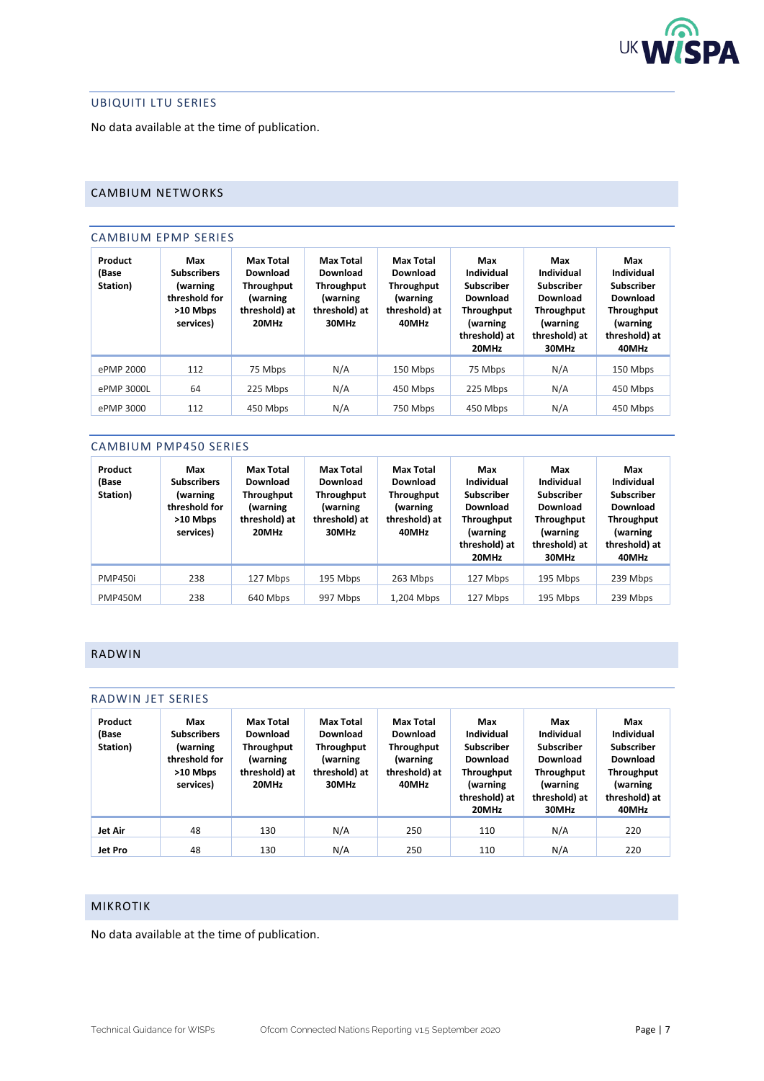

### <span id="page-6-0"></span>UBIQUITI LTU SERIES

No data available at the time of publication.

## <span id="page-6-2"></span><span id="page-6-1"></span>CAMBIUM NETWORKS

#### CAMBIUM EPMP SERIES

| Product<br>(Base<br>Station) | Max<br><b>Subscribers</b><br><i>(warning</i><br>threshold for<br>>10 Mbps<br>services) | <b>Max Total</b><br>Download<br><b>Throughput</b><br>(warning<br>threshold) at<br>20MHz | <b>Max Total</b><br>Download<br>Throughput<br>(warning<br>threshold) at<br>30MHz | Max Total<br>Download<br><b>Throughput</b><br>(warning<br>threshold) at<br>40MHz | Max<br>Individual<br>Subscriber<br>Download<br><b>Throughput</b><br><i>(warning</i><br>threshold) at<br>20MHz | Max<br>Individual<br><b>Subscriber</b><br>Download<br>Throughput<br>(warning<br>threshold) at<br>30MHz | Max<br>Individual<br><b>Subscriber</b><br>Download<br><b>Throughput</b><br><i>(warning</i><br>threshold) at<br>40MHz |
|------------------------------|----------------------------------------------------------------------------------------|-----------------------------------------------------------------------------------------|----------------------------------------------------------------------------------|----------------------------------------------------------------------------------|---------------------------------------------------------------------------------------------------------------|--------------------------------------------------------------------------------------------------------|----------------------------------------------------------------------------------------------------------------------|
| ePMP 2000                    | 112                                                                                    | 75 Mbps                                                                                 | N/A                                                                              | 150 Mbps                                                                         | 75 Mbps                                                                                                       | N/A                                                                                                    | 150 Mbps                                                                                                             |
| ePMP 3000L                   | 64                                                                                     | 225 Mbps                                                                                | N/A                                                                              | 450 Mbps                                                                         | 225 Mbps                                                                                                      | N/A                                                                                                    | 450 Mbps                                                                                                             |
| ePMP 3000                    | 112                                                                                    | 450 Mbps                                                                                | N/A                                                                              | 750 Mbps                                                                         | 450 Mbps                                                                                                      | N/A                                                                                                    | 450 Mbps                                                                                                             |

#### <span id="page-6-3"></span>CAMBIUM PMP450 SERIES

| Product<br>(Base<br>Station) | Max<br><b>Subscribers</b><br>(warning<br>threshold for<br>>10 Mbps<br>services) | <b>Max Total</b><br>Download<br>Throughput<br>(warning<br>threshold) at<br>20MHz | <b>Max Total</b><br>Download<br><b>Throughput</b><br>(warning<br>threshold) at<br>30MHz | <b>Max Total</b><br>Download<br><b>Throughput</b><br>(warning<br>threshold) at<br>40MHz | Max<br>Individual<br><b>Subscriber</b><br>Download<br><b>Throughput</b><br><i>(warning</i><br>threshold) at<br>20MHz | Max<br>Individual<br><b>Subscriber</b><br>Download<br><b>Throughput</b><br>(warning<br>threshold) at<br>30MHz | Max<br>Individual<br><b>Subscriber</b><br>Download<br><b>Throughput</b><br>(warning<br>threshold) at<br>40MHz |
|------------------------------|---------------------------------------------------------------------------------|----------------------------------------------------------------------------------|-----------------------------------------------------------------------------------------|-----------------------------------------------------------------------------------------|----------------------------------------------------------------------------------------------------------------------|---------------------------------------------------------------------------------------------------------------|---------------------------------------------------------------------------------------------------------------|
| <b>PMP450i</b>               | 238                                                                             | 127 Mbps                                                                         | 195 Mbps                                                                                | 263 Mbps                                                                                | 127 Mbps                                                                                                             | 195 Mbps                                                                                                      | 239 Mbps                                                                                                      |
| <b>PMP450M</b>               | 238                                                                             | 640 Mbps                                                                         | 997 Mbps                                                                                | 1,204 Mbps                                                                              | 127 Mbps                                                                                                             | 195 Mbps                                                                                                      | 239 Mbps                                                                                                      |

## <span id="page-6-4"></span>RADWIN

#### <span id="page-6-5"></span>RADWIN JET SERIES

| Product<br>(Base<br>Station) | Max<br><b>Subscribers</b><br>(warning<br>threshold for<br>$>10$ Mbps<br>services) | <b>Max Total</b><br>Download<br><b>Throughput</b><br>(warning<br>threshold) at<br>20MHz | <b>Max Total</b><br>Download<br>Throughput<br>(warning<br>threshold) at<br>30MHz | Max Total<br>Download<br><b>Throughput</b><br>(warning<br>threshold) at<br>40MHz | Max<br>Individual<br>Subscriber<br>Download<br><b>Throughput</b><br>(warning<br>threshold) at<br>20MHz | Max<br>Individual<br>Subscriber<br>Download<br>Throughput<br>(warning<br>threshold) at<br>30MHz | Max<br>Individual<br>Subscriber<br>Download<br><b>Throughput</b><br>(warning<br>threshold) at<br>40MHz |
|------------------------------|-----------------------------------------------------------------------------------|-----------------------------------------------------------------------------------------|----------------------------------------------------------------------------------|----------------------------------------------------------------------------------|--------------------------------------------------------------------------------------------------------|-------------------------------------------------------------------------------------------------|--------------------------------------------------------------------------------------------------------|
| Jet Air                      | 48                                                                                | 130                                                                                     | N/A                                                                              | 250                                                                              | 110                                                                                                    | N/A                                                                                             | 220                                                                                                    |
| Jet Pro                      | 48                                                                                | 130                                                                                     | N/A                                                                              | 250                                                                              | 110                                                                                                    | N/A                                                                                             | 220                                                                                                    |

## <span id="page-6-6"></span>MIKROTIK

No data available at the time of publication.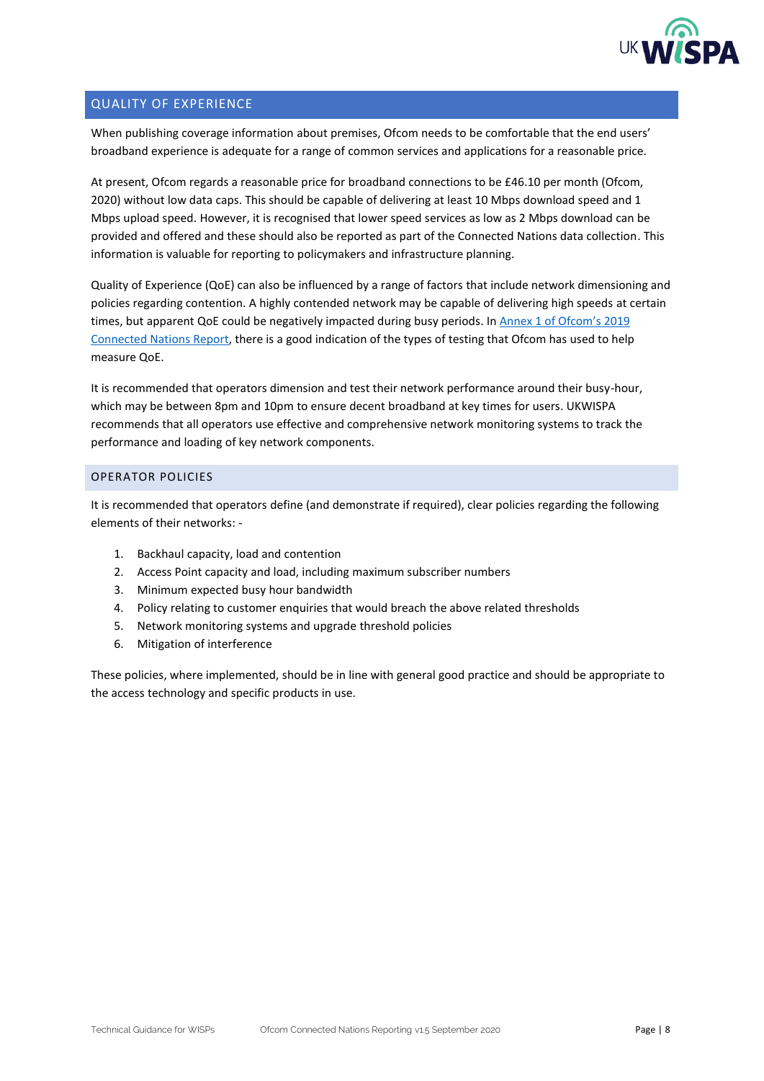

## <span id="page-7-0"></span>QUALITY OF EXPERIENCE

When publishing coverage information about premises, Ofcom needs to be comfortable that the end users' broadband experience is adequate for a range of common services and applications for a reasonable price.

At present, Ofcom regards a reasonable price for broadband connections to be £46.10 per month (Ofcom, 2020) without low data caps. This should be capable of delivering at least 10 Mbps download speed and 1 Mbps upload speed. However, it is recognised that lower speed services as low as 2 Mbps download can be provided and offered and these should also be reported as part of the Connected Nations data collection. This information is valuable for reporting to policymakers and infrastructure planning.

Quality of Experience (QoE) can also be influenced by a range of factors that include network dimensioning and policies regarding contention. A highly contended network may be capable of delivering high speeds at certain times, but apparent QoE could be negatively impacted during busy periods. In [Annex 1 of Ofcom's 2019](https://www.ofcom.org.uk/__data/assets/pdf_file/0020/147332/home-broadband-report-2018.pdf)  [Connected Nations Report,](https://www.ofcom.org.uk/__data/assets/pdf_file/0020/147332/home-broadband-report-2018.pdf) there is a good indication of the types of testing that Ofcom has used to help measure QoE.

It is recommended that operators dimension and test their network performance around their busy-hour, which may be between 8pm and 10pm to ensure decent broadband at key times for users. UKWISPA recommends that all operators use effective and comprehensive network monitoring systems to track the performance and loading of key network components.

#### <span id="page-7-1"></span>OPERATOR POLICIES

It is recommended that operators define (and demonstrate if required), clear policies regarding the following elements of their networks: -

- 1. Backhaul capacity, load and contention
- 2. Access Point capacity and load, including maximum subscriber numbers
- 3. Minimum expected busy hour bandwidth
- 4. Policy relating to customer enquiries that would breach the above related thresholds
- 5. Network monitoring systems and upgrade threshold policies
- 6. Mitigation of interference

These policies, where implemented, should be in line with general good practice and should be appropriate to the access technology and specific products in use.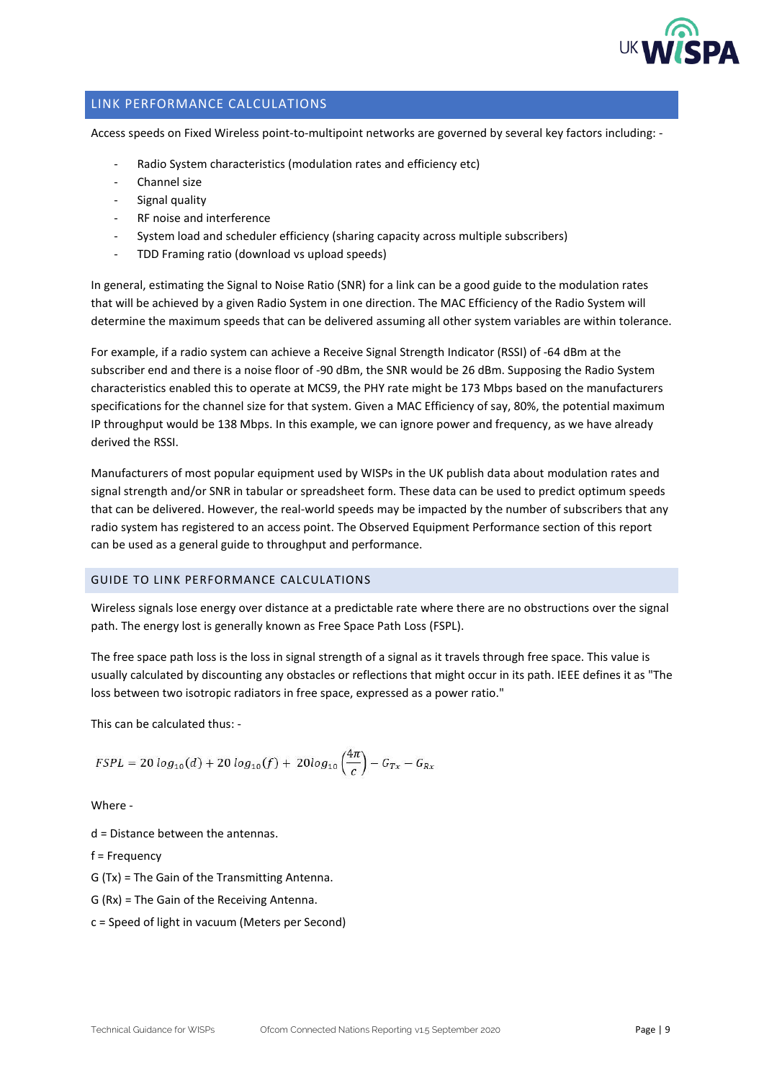

#### <span id="page-8-0"></span>LINK PERFORMANCE CALCULATIONS

Access speeds on Fixed Wireless point-to-multipoint networks are governed by several key factors including: -

- Radio System characteristics (modulation rates and efficiency etc)
- Channel size
- Signal quality
- RF noise and interference
- System load and scheduler efficiency (sharing capacity across multiple subscribers)
- TDD Framing ratio (download vs upload speeds)

In general, estimating the Signal to Noise Ratio (SNR) for a link can be a good guide to the modulation rates that will be achieved by a given Radio System in one direction. The MAC Efficiency of the Radio System will determine the maximum speeds that can be delivered assuming all other system variables are within tolerance.

For example, if a radio system can achieve a Receive Signal Strength Indicator (RSSI) of -64 dBm at the subscriber end and there is a noise floor of -90 dBm, the SNR would be 26 dBm. Supposing the Radio System characteristics enabled this to operate at MCS9, the PHY rate might be 173 Mbps based on the manufacturers specifications for the channel size for that system. Given a MAC Efficiency of say, 80%, the potential maximum IP throughput would be 138 Mbps. In this example, we can ignore power and frequency, as we have already derived the RSSI.

Manufacturers of most popular equipment used by WISPs in the UK publish data about modulation rates and signal strength and/or SNR in tabular or spreadsheet form. These data can be used to predict optimum speeds that can be delivered. However, the real-world speeds may be impacted by the number of subscribers that any radio system has registered to an access point. The Observed Equipment Performance section of this report can be used as a general guide to throughput and performance.

#### <span id="page-8-1"></span>GUIDE TO LINK PERFORMANCE CALCULATIONS

Wireless signals lose energy over distance at a predictable rate where there are no obstructions over the signal path. The energy lost is generally known as Free Space Path Loss (FSPL).

The free space path loss is the loss in signal strength of a signal as it travels through free space. This value is usually calculated by discounting any obstacles or reflections that might occur in its path. IEEE defines it as "The loss between two isotropic radiators in free space, expressed as a power ratio."

This can be calculated thus: -

$$
FSPL = 20 \log_{10}(d) + 20 \log_{10}(f) + 20 \log_{10}\left(\frac{4\pi}{c}\right) - G_{Tx} - G_{Rx}
$$

Where -

d = Distance between the antennas.

f = Frequency

G (Tx) = The Gain of the Transmitting Antenna.

- G (Rx) = The Gain of the Receiving Antenna.
- c = Speed of light in vacuum (Meters per Second)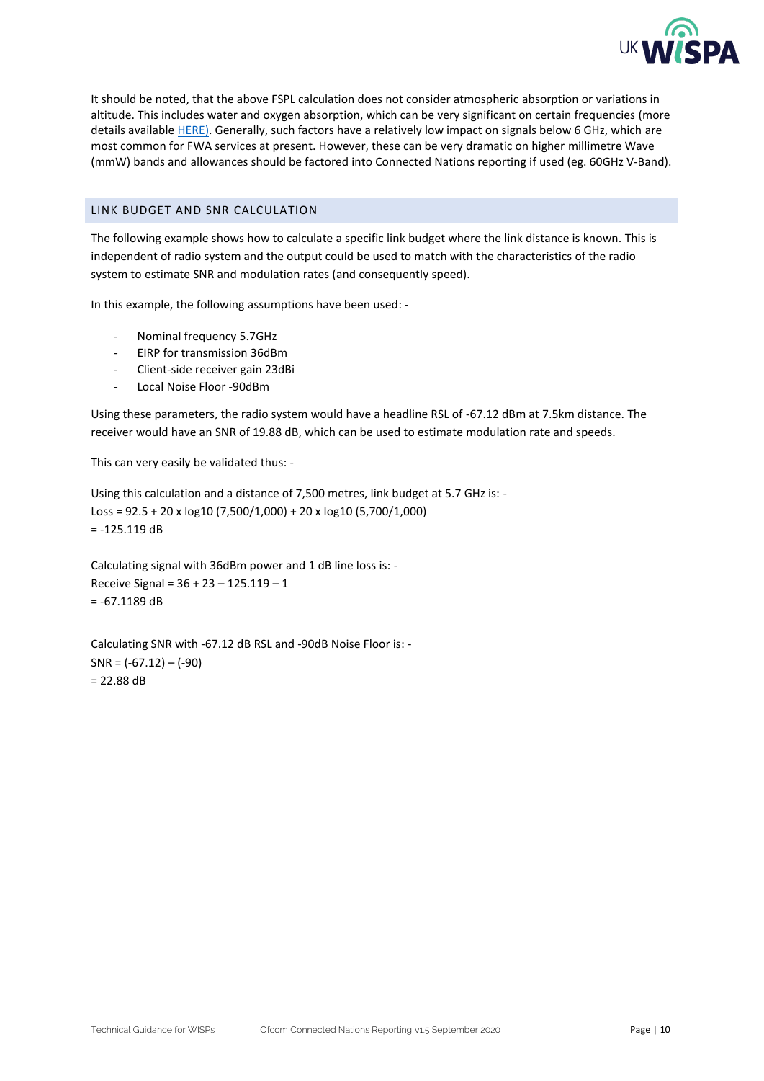

It should be noted, that the above FSPL calculation does not consider atmospheric absorption or variations in altitude. This includes water and oxygen absorption, which can be very significant on certain frequencies (more details availabl[e HERE\)](https://www.itu.int/dms_pubrec/itu-r/rec/p/R-REC-P.676-9-201202-S!!PDF-E.pdf). Generally, such factors have a relatively low impact on signals below 6 GHz, which are most common for FWA services at present. However, these can be very dramatic on higher millimetre Wave (mmW) bands and allowances should be factored into Connected Nations reporting if used (eg. 60GHz V-Band).

#### <span id="page-9-0"></span>LINK BUDGET AND SNR CALCULATION

The following example shows how to calculate a specific link budget where the link distance is known. This is independent of radio system and the output could be used to match with the characteristics of the radio system to estimate SNR and modulation rates (and consequently speed).

In this example, the following assumptions have been used: -

- Nominal frequency 5.7GHz
- EIRP for transmission 36dBm
- Client-side receiver gain 23dBi
- Local Noise Floor -90dBm

Using these parameters, the radio system would have a headline RSL of -67.12 dBm at 7.5km distance. The receiver would have an SNR of 19.88 dB, which can be used to estimate modulation rate and speeds.

This can very easily be validated thus: -

Using this calculation and a distance of 7,500 metres, link budget at 5.7 GHz is: - Loss = 92.5 + 20 x log10 (7,500/1,000) + 20 x log10 (5,700/1,000) = -125.119 dB

Calculating signal with 36dBm power and 1 dB line loss is: - Receive Signal = 36 + 23 – 125.119 – 1  $= -67.1189$  dB

Calculating SNR with -67.12 dB RSL and -90dB Noise Floor is: -  $SNR = (-67.12) - (-90)$  $= 22.88$  dB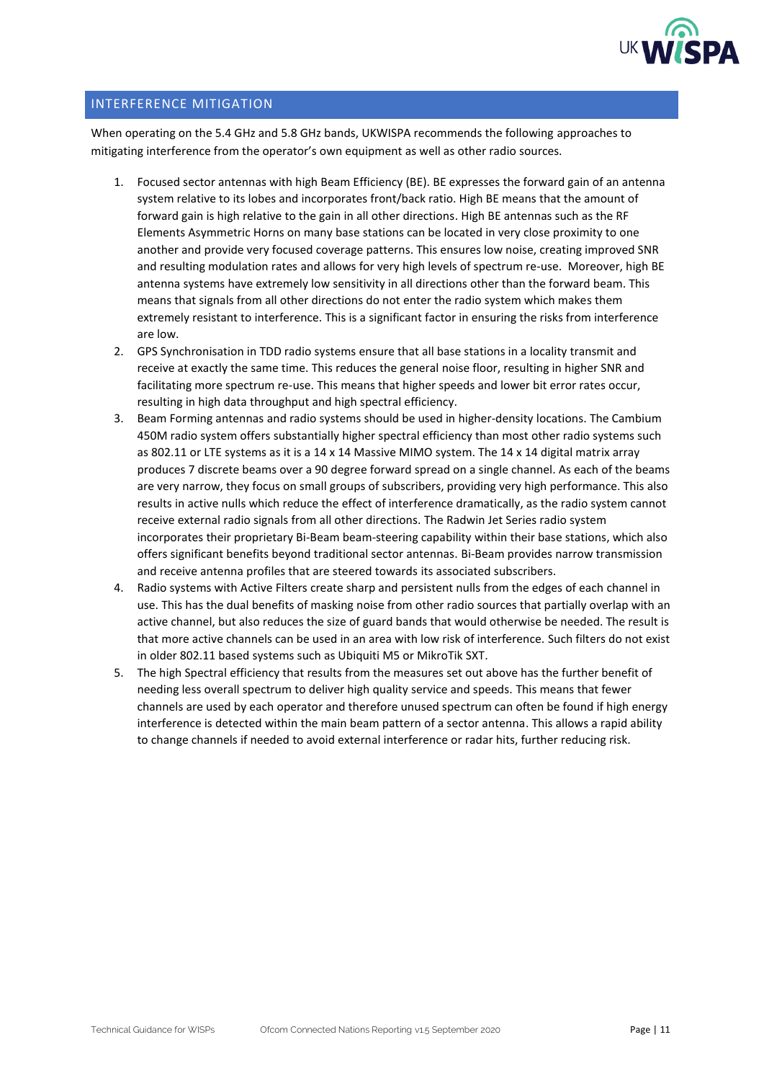

#### <span id="page-10-0"></span>INTERFERENCE MITIGATION

When operating on the 5.4 GHz and 5.8 GHz bands, UKWISPA recommends the following approaches to mitigating interference from the operator's own equipment as well as other radio sources.

- 1. Focused sector antennas with high Beam Efficiency (BE). BE expresses the forward gain of an antenna system relative to its lobes and incorporates front/back ratio. High BE means that the amount of forward gain is high relative to the gain in all other directions. High BE antennas such as the RF Elements Asymmetric Horns on many base stations can be located in very close proximity to one another and provide very focused coverage patterns. This ensures low noise, creating improved SNR and resulting modulation rates and allows for very high levels of spectrum re-use. Moreover, high BE antenna systems have extremely low sensitivity in all directions other than the forward beam. This means that signals from all other directions do not enter the radio system which makes them extremely resistant to interference. This is a significant factor in ensuring the risks from interference are low.
- 2. GPS Synchronisation in TDD radio systems ensure that all base stations in a locality transmit and receive at exactly the same time. This reduces the general noise floor, resulting in higher SNR and facilitating more spectrum re-use. This means that higher speeds and lower bit error rates occur, resulting in high data throughput and high spectral efficiency.
- 3. Beam Forming antennas and radio systems should be used in higher-density locations. The Cambium 450M radio system offers substantially higher spectral efficiency than most other radio systems such as 802.11 or LTE systems as it is a 14 x 14 Massive MIMO system. The 14 x 14 digital matrix array produces 7 discrete beams over a 90 degree forward spread on a single channel. As each of the beams are very narrow, they focus on small groups of subscribers, providing very high performance. This also results in active nulls which reduce the effect of interference dramatically, as the radio system cannot receive external radio signals from all other directions. The Radwin Jet Series radio system incorporates their proprietary Bi-Beam beam-steering capability within their base stations, which also offers significant benefits beyond traditional sector antennas. Bi-Beam provides narrow transmission and receive antenna profiles that are steered towards its associated subscribers.
- 4. Radio systems with Active Filters create sharp and persistent nulls from the edges of each channel in use. This has the dual benefits of masking noise from other radio sources that partially overlap with an active channel, but also reduces the size of guard bands that would otherwise be needed. The result is that more active channels can be used in an area with low risk of interference. Such filters do not exist in older 802.11 based systems such as Ubiquiti M5 or MikroTik SXT.
- 5. The high Spectral efficiency that results from the measures set out above has the further benefit of needing less overall spectrum to deliver high quality service and speeds. This means that fewer channels are used by each operator and therefore unused spectrum can often be found if high energy interference is detected within the main beam pattern of a sector antenna. This allows a rapid ability to change channels if needed to avoid external interference or radar hits, further reducing risk.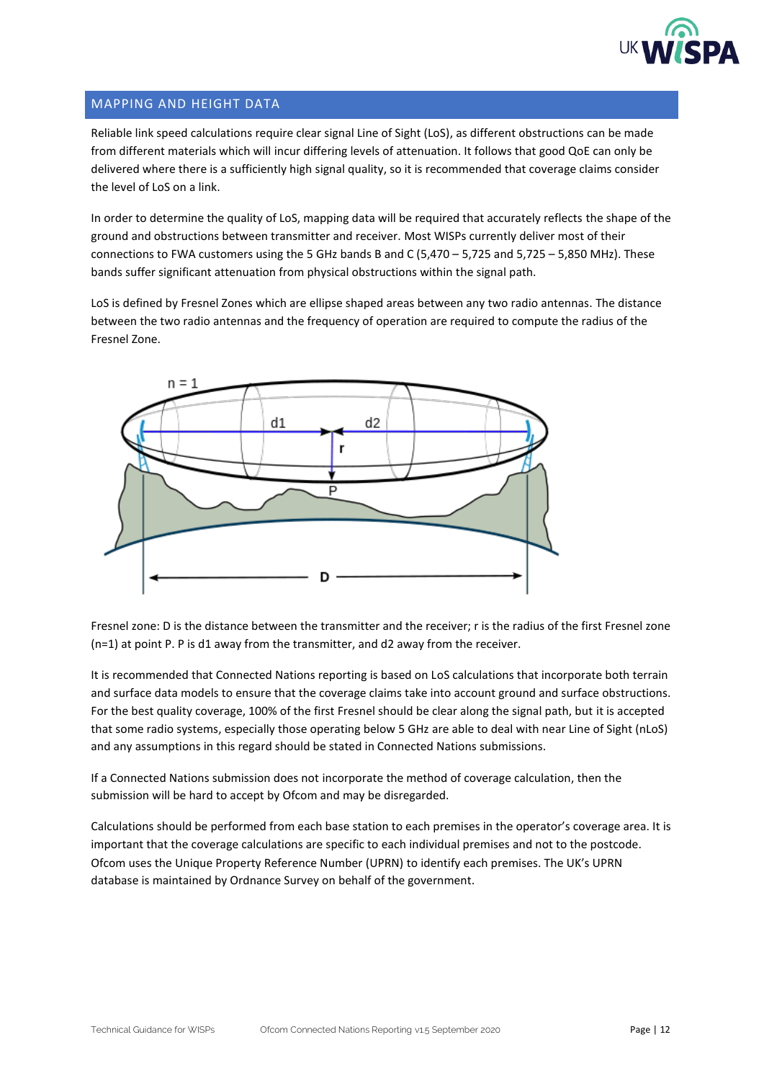

### <span id="page-11-0"></span>MAPPING AND HEIGHT DATA

Reliable link speed calculations require clear signal Line of Sight (LoS), as different obstructions can be made from different materials which will incur differing levels of attenuation. It follows that good QoE can only be delivered where there is a sufficiently high signal quality, so it is recommended that coverage claims consider the level of LoS on a link.

In order to determine the quality of LoS, mapping data will be required that accurately reflects the shape of the ground and obstructions between transmitter and receiver. Most WISPs currently deliver most of their connections to FWA customers using the 5 GHz bands B and C (5,470 – 5,725 and 5,725 – 5,850 MHz). These bands suffer significant attenuation from physical obstructions within the signal path.

LoS is defined by Fresnel Zones which are ellipse shaped areas between any two radio antennas. The distance between the two radio antennas and the frequency of operation are required to compute the radius of the Fresnel Zone.



Fresnel zone: D is the distance between the transmitter and the receiver; r is the radius of the first Fresnel zone (n=1) at point P. P is d1 away from the transmitter, and d2 away from the receiver.

It is recommended that Connected Nations reporting is based on LoS calculations that incorporate both terrain and surface data models to ensure that the coverage claims take into account ground and surface obstructions. For the best quality coverage, 100% of the first Fresnel should be clear along the signal path, but it is accepted that some radio systems, especially those operating below 5 GHz are able to deal with near Line of Sight (nLoS) and any assumptions in this regard should be stated in Connected Nations submissions.

If a Connected Nations submission does not incorporate the method of coverage calculation, then the submission will be hard to accept by Ofcom and may be disregarded.

Calculations should be performed from each base station to each premises in the operator's coverage area. It is important that the coverage calculations are specific to each individual premises and not to the postcode. Ofcom uses the Unique Property Reference Number (UPRN) to identify each premises. The UK's UPRN database is maintained by Ordnance Survey on behalf of the government.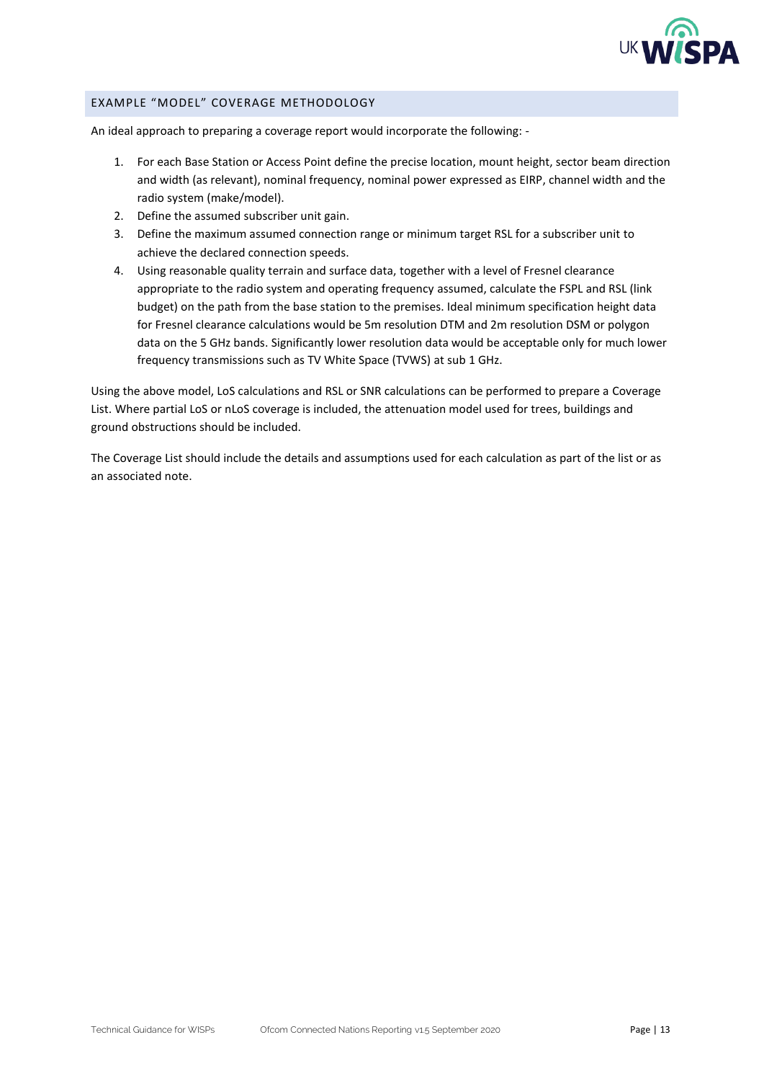

#### <span id="page-12-0"></span>EXAMPLE "MODEL" COVERAGE METHODOLOGY

An ideal approach to preparing a coverage report would incorporate the following: -

- 1. For each Base Station or Access Point define the precise location, mount height, sector beam direction and width (as relevant), nominal frequency, nominal power expressed as EIRP, channel width and the radio system (make/model).
- 2. Define the assumed subscriber unit gain.
- 3. Define the maximum assumed connection range or minimum target RSL for a subscriber unit to achieve the declared connection speeds.
- 4. Using reasonable quality terrain and surface data, together with a level of Fresnel clearance appropriate to the radio system and operating frequency assumed, calculate the FSPL and RSL (link budget) on the path from the base station to the premises. Ideal minimum specification height data for Fresnel clearance calculations would be 5m resolution DTM and 2m resolution DSM or polygon data on the 5 GHz bands. Significantly lower resolution data would be acceptable only for much lower frequency transmissions such as TV White Space (TVWS) at sub 1 GHz.

Using the above model, LoS calculations and RSL or SNR calculations can be performed to prepare a Coverage List. Where partial LoS or nLoS coverage is included, the attenuation model used for trees, buildings and ground obstructions should be included.

The Coverage List should include the details and assumptions used for each calculation as part of the list or as an associated note.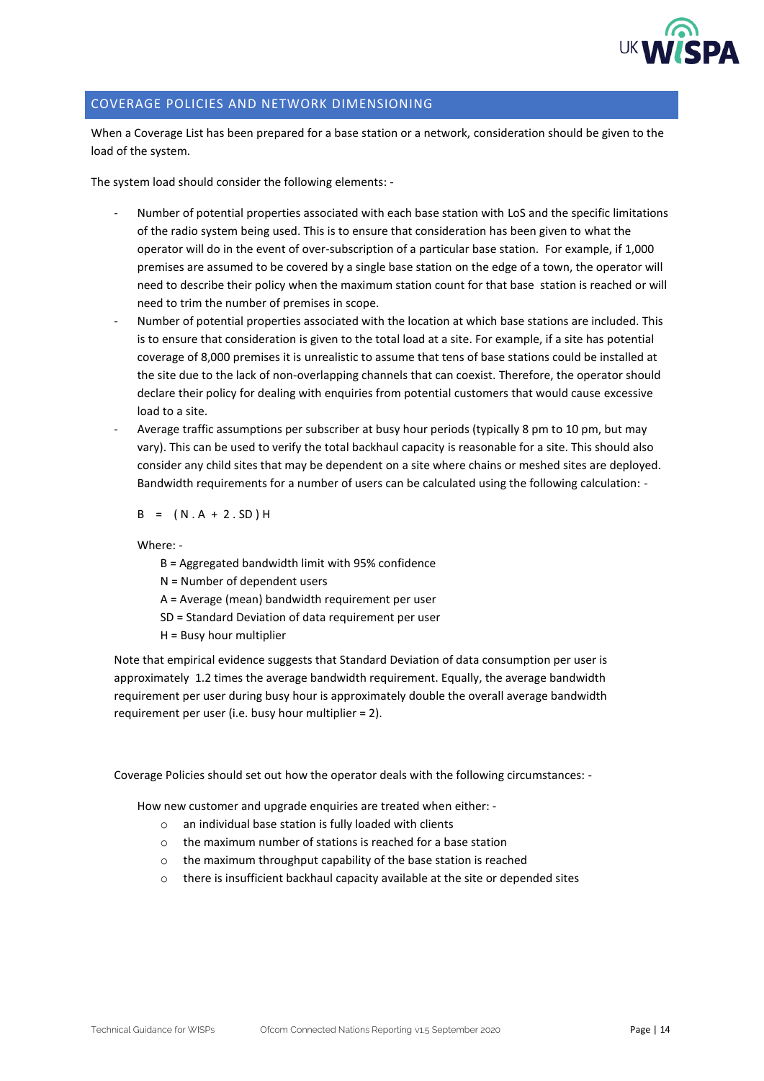

#### <span id="page-13-0"></span>COVERAGE POLICIES AND NETWORK DIMENSIONING

When a Coverage List has been prepared for a base station or a network, consideration should be given to the load of the system.

The system load should consider the following elements: -

- Number of potential properties associated with each base station with LoS and the specific limitations of the radio system being used. This is to ensure that consideration has been given to what the operator will do in the event of over-subscription of a particular base station. For example, if 1,000 premises are assumed to be covered by a single base station on the edge of a town, the operator will need to describe their policy when the maximum station count for that base station is reached or will need to trim the number of premises in scope.
- Number of potential properties associated with the location at which base stations are included. This is to ensure that consideration is given to the total load at a site. For example, if a site has potential coverage of 8,000 premises it is unrealistic to assume that tens of base stations could be installed at the site due to the lack of non-overlapping channels that can coexist. Therefore, the operator should declare their policy for dealing with enquiries from potential customers that would cause excessive load to a site.
- Average traffic assumptions per subscriber at busy hour periods (typically 8 pm to 10 pm, but may vary). This can be used to verify the total backhaul capacity is reasonable for a site. This should also consider any child sites that may be dependent on a site where chains or meshed sites are deployed. Bandwidth requirements for a number of users can be calculated using the following calculation: -

 $B = (N.A + 2.SD)H$ 

Where: -

B = Aggregated bandwidth limit with 95% confidence

N = Number of dependent users

A = Average (mean) bandwidth requirement per user

- SD = Standard Deviation of data requirement per user
- H = Busy hour multiplier

Note that empirical evidence suggests that Standard Deviation of data consumption per user is approximately 1.2 times the average bandwidth requirement. Equally, the average bandwidth requirement per user during busy hour is approximately double the overall average bandwidth requirement per user (i.e. busy hour multiplier = 2).

Coverage Policies should set out how the operator deals with the following circumstances: -

How new customer and upgrade enquiries are treated when either: -

- o an individual base station is fully loaded with clients
- o the maximum number of stations is reached for a base station
- o the maximum throughput capability of the base station is reached
- $\circ$  there is insufficient backhaul capacity available at the site or depended sites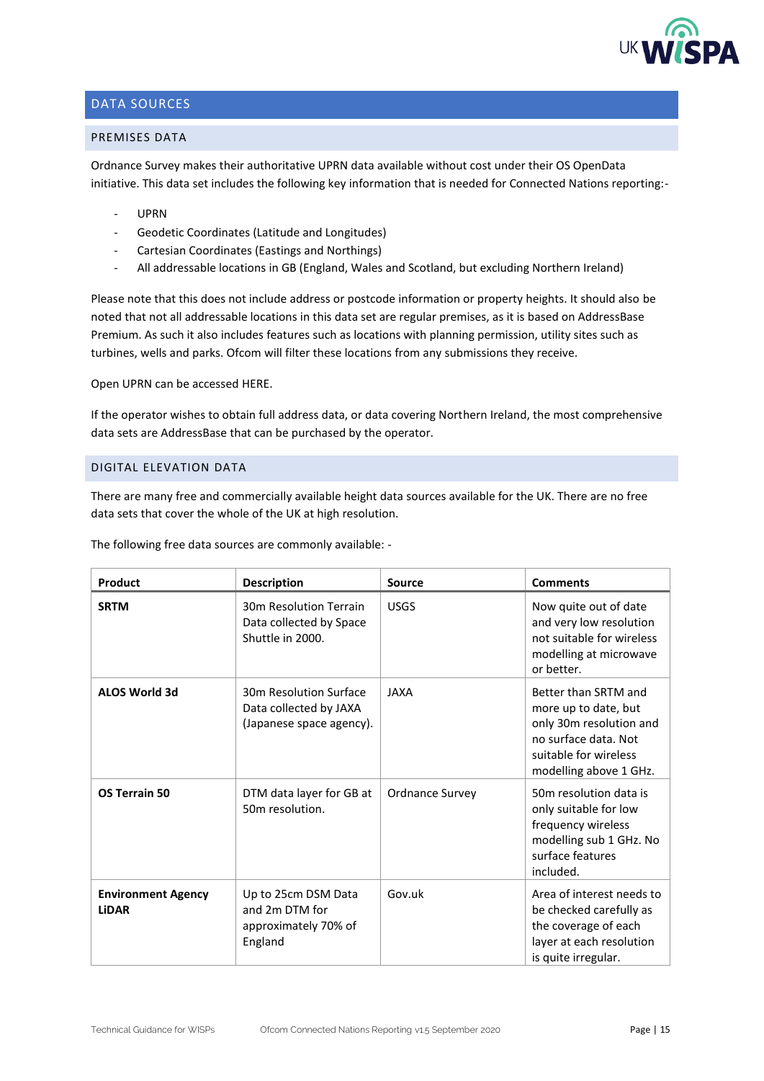

## <span id="page-14-0"></span>DATA SOURCES

#### <span id="page-14-1"></span>PREMISES DATA

Ordnance Survey makes their authoritative UPRN data available without cost under their OS OpenData initiative. This data set includes the following key information that is needed for Connected Nations reporting:-

- UPRN
- Geodetic Coordinates (Latitude and Longitudes)
- Cartesian Coordinates (Eastings and Northings)
- All addressable locations in GB (England, Wales and Scotland, but excluding Northern Ireland)

Please note that this does not include address or postcode information or property heights. It should also be noted that not all addressable locations in this data set are regular premises, as it is based on AddressBase Premium. As such it also includes features such as locations with planning permission, utility sites such as turbines, wells and parks. Ofcom will filter these locations from any submissions they receive.

Open UPRN can be accesse[d HERE.](https://www.ordnancesurvey.co.uk/business-government/products/open-uprn)

If the operator wishes to obtain full address data, or data covering Northern Ireland, the most comprehensive data sets are AddressBase that can be purchased by the operator.

#### <span id="page-14-2"></span>DIGITAL ELEVATION DATA

There are many free and commercially available height data sources available for the UK. There are no free data sets that cover the whole of the UK at high resolution.

The following free data sources are commonly available: -

| Product                                   | <b>Description</b>                                                           | Source                 | <b>Comments</b>                                                                                                                                    |
|-------------------------------------------|------------------------------------------------------------------------------|------------------------|----------------------------------------------------------------------------------------------------------------------------------------------------|
| <b>SRTM</b>                               | 30m Resolution Terrain<br>Data collected by Space<br>Shuttle in 2000.        | <b>USGS</b>            | Now quite out of date<br>and very low resolution<br>not suitable for wireless<br>modelling at microwave<br>or better.                              |
| <b>ALOS World 3d</b>                      | 30m Resolution Surface<br>Data collected by JAXA<br>(Japanese space agency). | <b>JAXA</b>            | Better than SRTM and<br>more up to date, but<br>only 30m resolution and<br>no surface data. Not<br>suitable for wireless<br>modelling above 1 GHz. |
| <b>OS Terrain 50</b>                      | DTM data layer for GB at<br>50m resolution.                                  | <b>Ordnance Survey</b> | 50m resolution data is<br>only suitable for low<br>frequency wireless<br>modelling sub 1 GHz. No<br>surface features<br>included.                  |
| <b>Environment Agency</b><br><b>LiDAR</b> | Up to 25cm DSM Data<br>and 2m DTM for<br>approximately 70% of<br>England     | Gov.uk                 | Area of interest needs to<br>be checked carefully as<br>the coverage of each<br>layer at each resolution<br>is quite irregular.                    |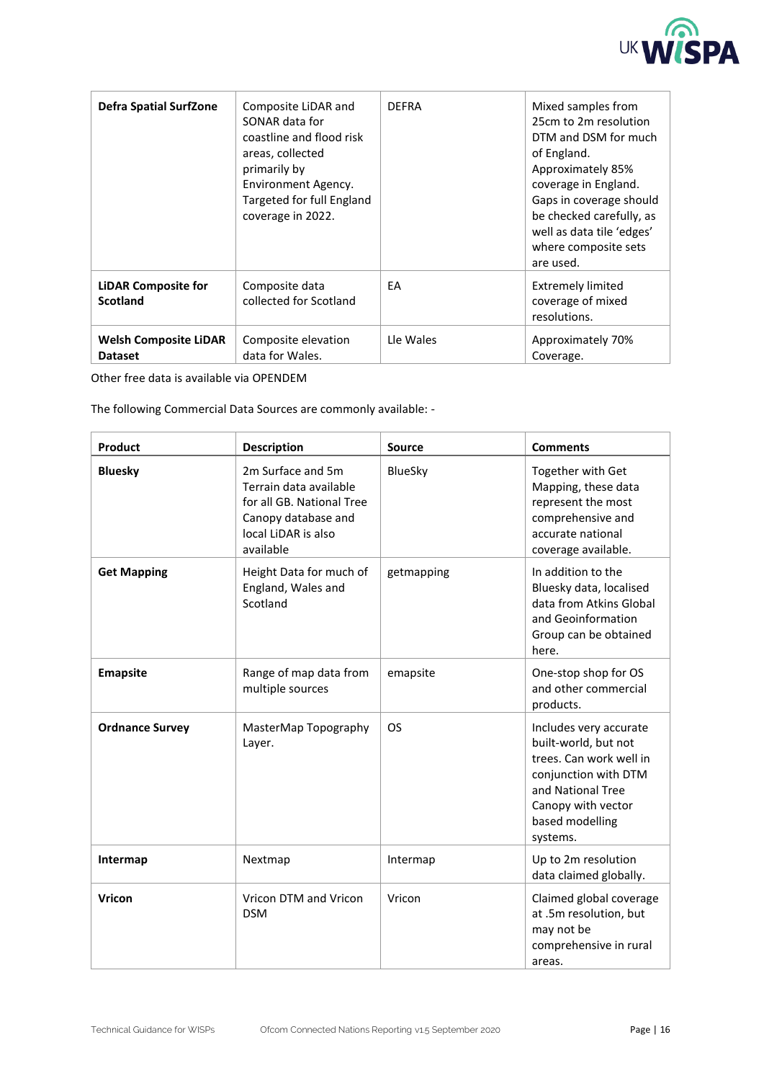

| <b>Defra Spatial SurfZone</b>                  | Composite LiDAR and<br>SONAR data for<br>coastline and flood risk<br>areas, collected<br>primarily by<br>Environment Agency.<br>Targeted for full England<br>coverage in 2022. | <b>DEFRA</b> | Mixed samples from<br>25cm to 2m resolution<br>DTM and DSM for much<br>of England.<br>Approximately 85%<br>coverage in England.<br>Gaps in coverage should<br>be checked carefully, as<br>well as data tile 'edges'<br>where composite sets<br>are used. |
|------------------------------------------------|--------------------------------------------------------------------------------------------------------------------------------------------------------------------------------|--------------|----------------------------------------------------------------------------------------------------------------------------------------------------------------------------------------------------------------------------------------------------------|
| <b>LiDAR Composite for</b><br><b>Scotland</b>  | Composite data<br>collected for Scotland                                                                                                                                       | EA           | <b>Extremely limited</b><br>coverage of mixed<br>resolutions.                                                                                                                                                                                            |
| <b>Welsh Composite LiDAR</b><br><b>Dataset</b> | Composite elevation<br>data for Wales.                                                                                                                                         | Lle Wales    | Approximately 70%<br>Coverage.                                                                                                                                                                                                                           |

Other free data is available vi[a OPENDEM](https://www.opendem.info/link_dem.html)

The following Commercial Data Sources are commonly available: -

| <b>Product</b>         | <b>Description</b>                                                                                                                  | <b>Source</b> | <b>Comments</b>                                                                                                                                                             |
|------------------------|-------------------------------------------------------------------------------------------------------------------------------------|---------------|-----------------------------------------------------------------------------------------------------------------------------------------------------------------------------|
| <b>Bluesky</b>         | 2m Surface and 5m<br>Terrain data available<br>for all GB. National Tree<br>Canopy database and<br>local LiDAR is also<br>available | BlueSky       | Together with Get<br>Mapping, these data<br>represent the most<br>comprehensive and<br>accurate national<br>coverage available.                                             |
| <b>Get Mapping</b>     | Height Data for much of<br>England, Wales and<br>Scotland                                                                           | getmapping    | In addition to the<br>Bluesky data, localised<br>data from Atkins Global<br>and Geoinformation<br>Group can be obtained<br>here.                                            |
| <b>Emapsite</b>        | Range of map data from<br>multiple sources                                                                                          | emapsite      | One-stop shop for OS<br>and other commercial<br>products.                                                                                                                   |
| <b>Ordnance Survey</b> | MasterMap Topography<br>Layer.                                                                                                      | <b>OS</b>     | Includes very accurate<br>built-world, but not<br>trees. Can work well in<br>conjunction with DTM<br>and National Tree<br>Canopy with vector<br>based modelling<br>systems. |
| Intermap               | Nextmap                                                                                                                             | Intermap      | Up to 2m resolution<br>data claimed globally.                                                                                                                               |
| <b>Vricon</b>          | Vricon DTM and Vricon<br><b>DSM</b>                                                                                                 | Vricon        | Claimed global coverage<br>at .5m resolution, but<br>may not be<br>comprehensive in rural<br>areas.                                                                         |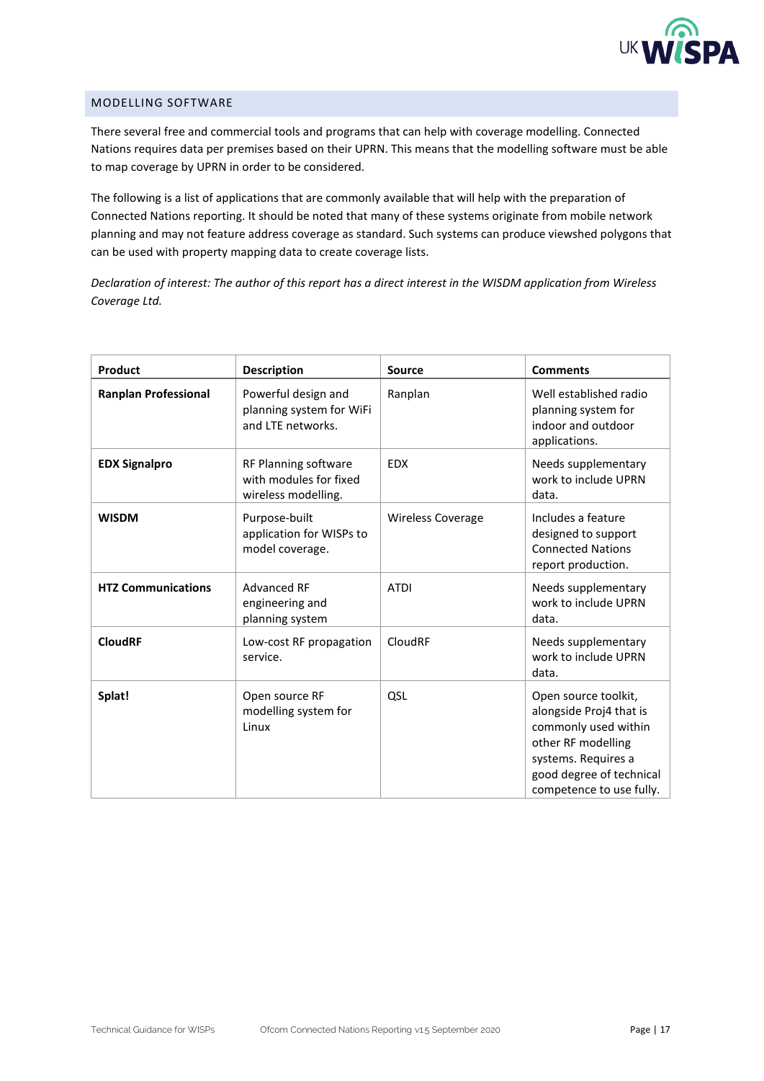

## <span id="page-16-0"></span>MODELLING SOFTWARE

There several free and commercial tools and programs that can help with coverage modelling. Connected Nations requires data per premises based on their UPRN. This means that the modelling software must be able to map coverage by UPRN in order to be considered.

The following is a list of applications that are commonly available that will help with the preparation of Connected Nations reporting. It should be noted that many of these systems originate from mobile network planning and may not feature address coverage as standard. Such systems can produce viewshed polygons that can be used with property mapping data to create coverage lists.

*Declaration of interest: The author of this report has a direct interest in the WISDM application from Wireless Coverage Ltd.*

| Product                     | <b>Description</b>                                                    | <b>Source</b>            | <b>Comments</b>                                                                                                                                                              |
|-----------------------------|-----------------------------------------------------------------------|--------------------------|------------------------------------------------------------------------------------------------------------------------------------------------------------------------------|
| <b>Ranplan Professional</b> | Powerful design and<br>planning system for WiFi<br>and LTE networks.  | Ranplan                  | Well established radio<br>planning system for<br>indoor and outdoor<br>applications.                                                                                         |
| <b>EDX Signalpro</b>        | RF Planning software<br>with modules for fixed<br>wireless modelling. | <b>EDX</b>               | Needs supplementary<br>work to include UPRN<br>data.                                                                                                                         |
| <b>WISDM</b>                | Purpose-built<br>application for WISPs to<br>model coverage.          | <b>Wireless Coverage</b> | Includes a feature<br>designed to support<br><b>Connected Nations</b><br>report production.                                                                                  |
| <b>HTZ Communications</b>   | <b>Advanced RF</b><br>engineering and<br>planning system              | <b>ATDI</b>              | Needs supplementary<br>work to include UPRN<br>data.                                                                                                                         |
| <b>CloudRF</b>              | Low-cost RF propagation<br>service.                                   | CloudRF                  | Needs supplementary<br>work to include UPRN<br>data.                                                                                                                         |
| Splat!                      | Open source RF<br>modelling system for<br>Linux                       | QSL                      | Open source toolkit,<br>alongside Proj4 that is<br>commonly used within<br>other RF modelling<br>systems. Requires a<br>good degree of technical<br>competence to use fully. |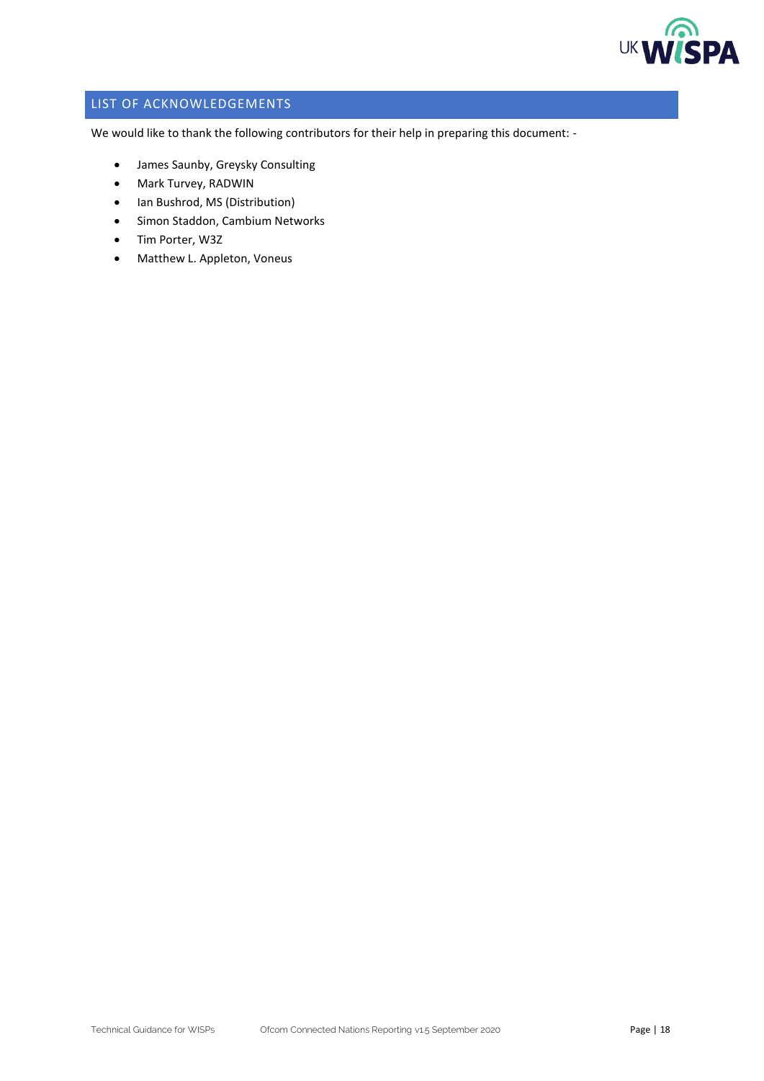

## <span id="page-17-0"></span>LIST OF ACKNOWLEDGEMENTS

We would like to thank the following contributors for their help in preparing this document: -

- James Saunby, Greysky Consulting
- Mark Turvey, RADWIN
- Ian Bushrod, MS (Distribution)
- Simon Staddon, Cambium Networks
- Tim Porter, W3Z
- Matthew L. Appleton, Voneus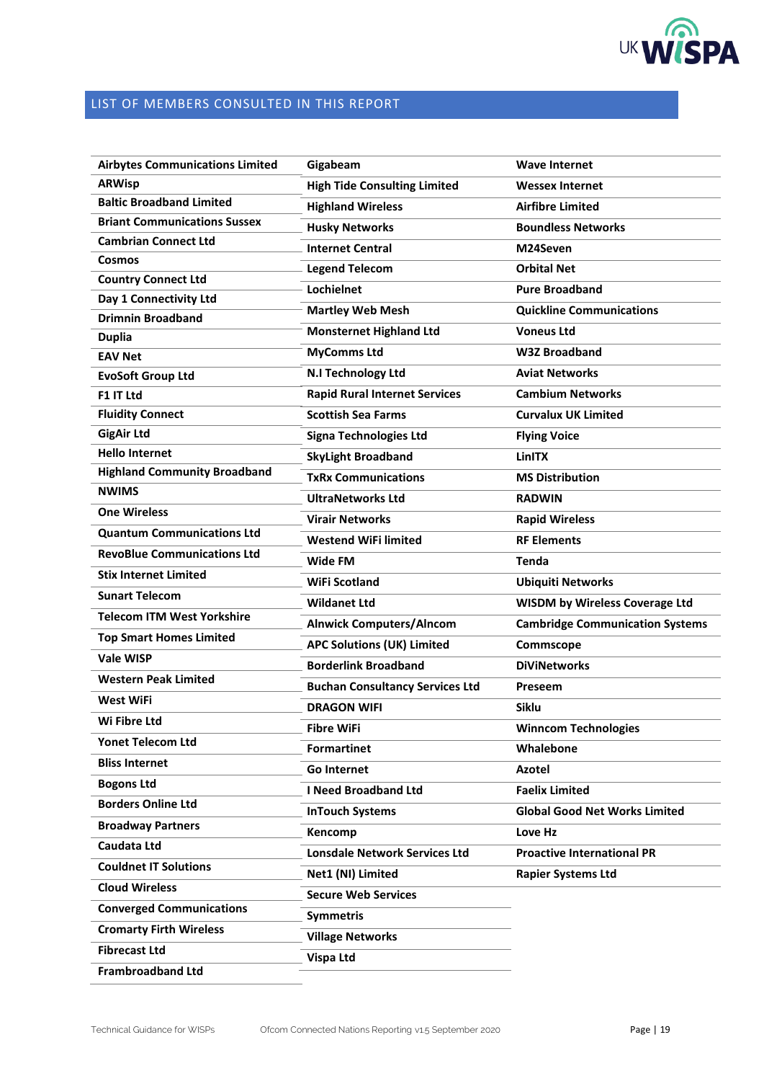

# <span id="page-18-0"></span>LIST OF MEMBERS CONSULTED IN THIS REPORT

| <b>Airbytes Communications Limited</b> | Gigabeam                               | <b>Wave Internet</b>                   |
|----------------------------------------|----------------------------------------|----------------------------------------|
| <b>ARWisp</b>                          | <b>High Tide Consulting Limited</b>    | <b>Wessex Internet</b>                 |
| <b>Baltic Broadband Limited</b>        | <b>Highland Wireless</b>               | <b>Airfibre Limited</b>                |
| <b>Briant Communications Sussex</b>    | <b>Husky Networks</b>                  | <b>Boundless Networks</b>              |
| <b>Cambrian Connect Ltd</b>            | <b>Internet Central</b>                | M24Seven                               |
| Cosmos                                 | <b>Legend Telecom</b>                  | <b>Orbital Net</b>                     |
| <b>Country Connect Ltd</b>             | Lochielnet                             | <b>Pure Broadband</b>                  |
| Day 1 Connectivity Ltd                 | <b>Martley Web Mesh</b>                | <b>Quickline Communications</b>        |
| <b>Drimnin Broadband</b>               | <b>Monsternet Highland Ltd</b>         | <b>Voneus Ltd</b>                      |
| <b>Duplia</b>                          |                                        | <b>W3Z Broadband</b>                   |
| <b>EAV Net</b>                         | <b>MyComms Ltd</b>                     |                                        |
| <b>EvoSoft Group Ltd</b>               | N.I Technology Ltd                     | <b>Aviat Networks</b>                  |
| F1 IT Ltd                              | <b>Rapid Rural Internet Services</b>   | <b>Cambium Networks</b>                |
| <b>Fluidity Connect</b>                | <b>Scottish Sea Farms</b>              | <b>Curvalux UK Limited</b>             |
| <b>GigAir Ltd</b>                      | <b>Signa Technologies Ltd</b>          | <b>Flying Voice</b>                    |
| <b>Hello Internet</b>                  | <b>SkyLight Broadband</b>              | <b>LinITX</b>                          |
| <b>Highland Community Broadband</b>    | <b>TxRx Communications</b>             | <b>MS Distribution</b>                 |
| <b>NWIMS</b>                           | <b>UltraNetworks Ltd</b>               | <b>RADWIN</b>                          |
| <b>One Wireless</b>                    | <b>Virair Networks</b>                 | <b>Rapid Wireless</b>                  |
| <b>Quantum Communications Ltd</b>      | <b>Westend WiFi limited</b>            | <b>RF Elements</b>                     |
| <b>RevoBlue Communications Ltd</b>     | Wide FM                                | <b>Tenda</b>                           |
| <b>Stix Internet Limited</b>           | <b>WiFi Scotland</b>                   | <b>Ubiquiti Networks</b>               |
| <b>Sunart Telecom</b>                  | <b>Wildanet Ltd</b>                    | <b>WISDM by Wireless Coverage Ltd</b>  |
| <b>Telecom ITM West Yorkshire</b>      | <b>Alnwick Computers/Alncom</b>        | <b>Cambridge Communication Systems</b> |
| <b>Top Smart Homes Limited</b>         | <b>APC Solutions (UK) Limited</b>      | Commscope                              |
| <b>Vale WISP</b>                       | <b>Borderlink Broadband</b>            | <b>DiViNetworks</b>                    |
| <b>Western Peak Limited</b>            | <b>Buchan Consultancy Services Ltd</b> | Preseem                                |
| West WiFi                              | <b>DRAGON WIFI</b>                     | <b>Siklu</b>                           |
| Wi Fibre Ltd                           | <b>Fibre WiFi</b>                      | <b>Winncom Technologies</b>            |
| <b>Yonet Telecom Ltd</b>               |                                        | Whalebone                              |
| <b>Bliss Internet</b>                  | <b>Formartinet</b>                     |                                        |
| <b>Bogons Ltd</b>                      | Go Internet                            | Azotel                                 |
| <b>Borders Online Ltd</b>              | <b>I Need Broadband Ltd</b>            | <b>Faelix Limited</b>                  |
| <b>Broadway Partners</b>               | <b>InTouch Systems</b>                 | <b>Global Good Net Works Limited</b>   |
| Caudata Ltd                            | Kencomp                                | Love Hz                                |
| <b>Couldnet IT Solutions</b>           | <b>Lonsdale Network Services Ltd</b>   | <b>Proactive International PR</b>      |
| <b>Cloud Wireless</b>                  | Net1 (NI) Limited                      | <b>Rapier Systems Ltd</b>              |
|                                        | <b>Secure Web Services</b>             |                                        |
| <b>Converged Communications</b>        | <b>Symmetris</b>                       |                                        |
| <b>Cromarty Firth Wireless</b>         | <b>Village Networks</b>                |                                        |
| <b>Fibrecast Ltd</b>                   | Vispa Ltd                              |                                        |
| <b>Frambroadband Ltd</b>               |                                        |                                        |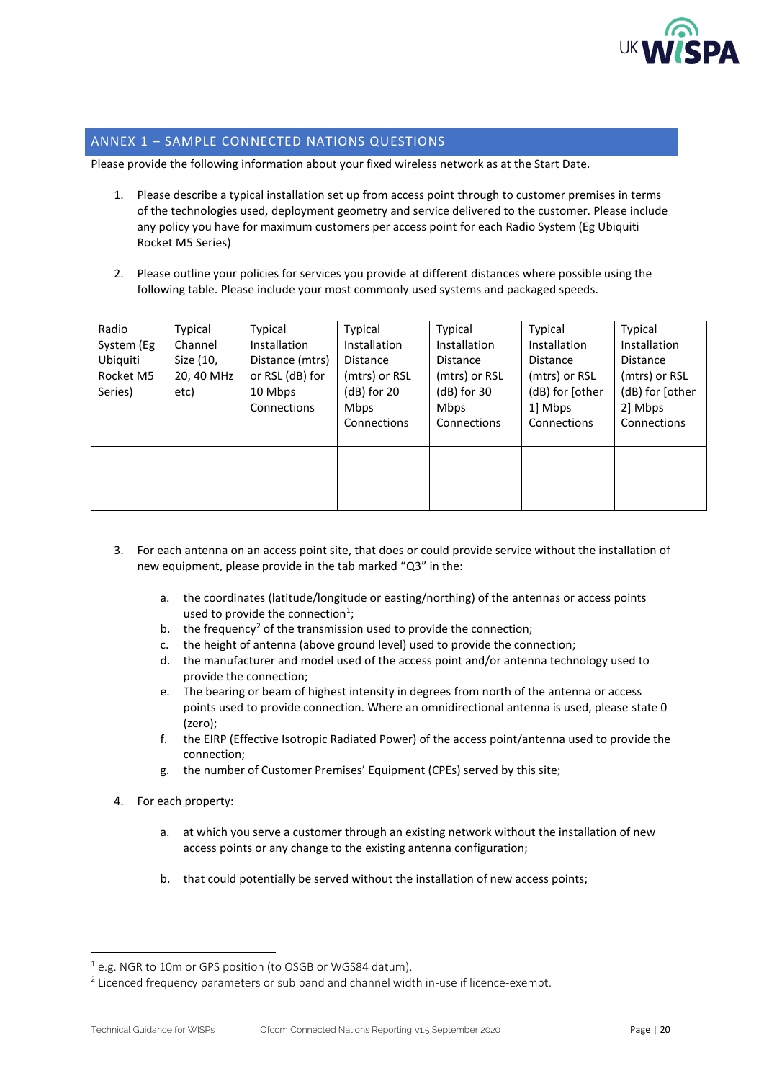

### <span id="page-19-0"></span>ANNEX 1 – SAMPLE CONNECTED NATIONS QUESTIONS

Please provide the following information about your fixed wireless network as at the Start Date.

- 1. Please describe a typical installation set up from access point through to customer premises in terms of the technologies used, deployment geometry and service delivered to the customer. Please include any policy you have for maximum customers per access point for each Radio System (Eg Ubiquiti Rocket M5 Series)
- 2. Please outline your policies for services you provide at different distances where possible using the following table. Please include your most commonly used systems and packaged speeds.

| Radio<br>System (Eg<br>Ubiquiti<br>Rocket M5<br>Series) | Typical<br>Channel<br>Size (10,<br>20, 40 MHz<br>etc) | Typical<br><b>Installation</b><br>Distance (mtrs)<br>or RSL (dB) for<br>10 Mbps<br>Connections | Typical<br>Installation<br>Distance<br>(mtrs) or RSL<br>$(dB)$ for 20<br><b>Mbps</b><br>Connections | Typical<br>Installation<br><b>Distance</b><br>(mtrs) or RSL<br>$(dB)$ for 30<br><b>Mbps</b><br>Connections | Typical<br>Installation<br>Distance<br>(mtrs) or RSL<br>(dB) for [other<br>1 Mbps<br>Connections | Typical<br>Installation<br><b>Distance</b><br>(mtrs) or RSL<br>(dB) for [other<br>2] Mbps<br>Connections |
|---------------------------------------------------------|-------------------------------------------------------|------------------------------------------------------------------------------------------------|-----------------------------------------------------------------------------------------------------|------------------------------------------------------------------------------------------------------------|--------------------------------------------------------------------------------------------------|----------------------------------------------------------------------------------------------------------|
|                                                         |                                                       |                                                                                                |                                                                                                     |                                                                                                            |                                                                                                  |                                                                                                          |
|                                                         |                                                       |                                                                                                |                                                                                                     |                                                                                                            |                                                                                                  |                                                                                                          |

- 3. For each antenna on an access point site, that does or could provide service without the installation of new equipment, please provide in the tab marked "Q3" in the:
	- a. the coordinates (latitude/longitude or easting/northing) of the antennas or access points used to provide the connection<sup>1</sup>;
	- b. the frequency<sup>2</sup> of the transmission used to provide the connection;
	- c. the height of antenna (above ground level) used to provide the connection;
	- d. the manufacturer and model used of the access point and/or antenna technology used to provide the connection;
	- e. The bearing or beam of highest intensity in degrees from north of the antenna or access points used to provide connection. Where an omnidirectional antenna is used, please state 0 (zero);
	- f. the EIRP (Effective Isotropic Radiated Power) of the access point/antenna used to provide the connection;
	- g. the number of Customer Premises' Equipment (CPEs) served by this site;
- 4. For each property:
	- a. at which you serve a customer through an existing network without the installation of new access points or any change to the existing antenna configuration;
	- b. that could potentially be served without the installation of new access points;

 $1$  e.g. NGR to 10m or GPS position (to OSGB or WGS84 datum).

 $^2$  Licenced frequency parameters or sub band and channel width in-use if licence-exempt.